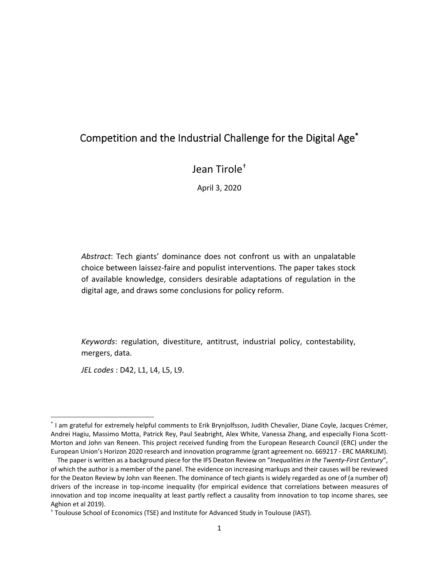# Competition and the Industrial Challenge for the Digital Age\*

Jean Tirole†

April 3, 2020

*Abstract*: Tech giants' dominance does not confront us with an unpalatable choice between laissez‐faire and populist interventions. The paper takes stock of available knowledge, considers desirable adaptations of regulation in the digital age, and draws some conclusions for policy reform.

*Keywords*: regulation, divestiture, antitrust, industrial policy, contestability, mergers, data.

*JEL codes* : D42, L1, L4, L5, L9.

<sup>\*</sup> I am grateful for extremely helpful comments to Erik Brynjolfsson, Judith Chevalier, Diane Coyle, Jacques Crémer, Andrei Hagiu, Massimo Motta, Patrick Rey, Paul Seabright, Alex White, Vanessa Zhang, and especially Fiona Scott‐ Morton and John van Reneen. This project received funding from the European Research Council (ERC) under the European Union's Horizon 2020 research and innovation programme (grant agreement no. 669217 ‐ ERC MARKLIM).

The paper is written as a background piece for the IFS Deaton Review on "*Inequalities in the Twenty‐First Century*", of which the author is a member of the panel. The evidence on increasing markups and their causes will be reviewed for the Deaton Review by John van Reenen. The dominance of tech giants is widely regarded as one of (a number of) drivers of the increase in top-income inequality (for empirical evidence that correlations between measures of innovation and top income inequality at least partly reflect a causality from innovation to top income shares, see Aghion et al 2019).

<sup>†</sup> Toulouse School of Economics (TSE) and Institute for Advanced Study in Toulouse (IAST).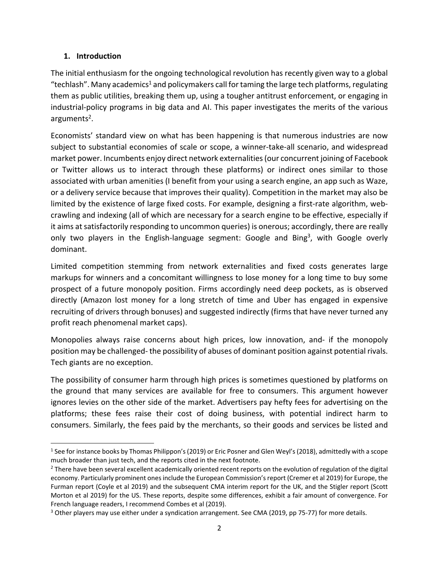#### **1. Introduction**

The initial enthusiasm for the ongoing technological revolution has recently given way to a global "techlash". Many academics<sup>1</sup> and policymakers call for taming the large tech platforms, regulating them as public utilities, breaking them up, using a tougher antitrust enforcement, or engaging in industrial‐policy programs in big data and AI. This paper investigates the merits of the various arguments<sup>2</sup>.

Economists' standard view on what has been happening is that numerous industries are now subject to substantial economies of scale or scope, a winner-take-all scenario, and widespread market power. Incumbents enjoy direct network externalities (our concurrent joining of Facebook or Twitter allows us to interact through these platforms) or indirect ones similar to those associated with urban amenities (I benefit from your using a search engine, an app such as Waze, or a delivery service because that improves their quality). Competition in the market may also be limited by the existence of large fixed costs. For example, designing a first-rate algorithm, webcrawling and indexing (all of which are necessary for a search engine to be effective, especially if it aims at satisfactorily responding to uncommon queries) is onerous; accordingly, there are really only two players in the English-language segment: Google and Bing<sup>3</sup>, with Google overly dominant.

Limited competition stemming from network externalities and fixed costs generates large markups for winners and a concomitant willingness to lose money for a long time to buy some prospect of a future monopoly position. Firms accordingly need deep pockets, as is observed directly (Amazon lost money for a long stretch of time and Uber has engaged in expensive recruiting of drivers through bonuses) and suggested indirectly (firms that have never turned any profit reach phenomenal market caps).

Monopolies always raise concerns about high prices, low innovation, and- if the monopoly position may be challenged‐ the possibility of abuses of dominant position against potential rivals. Tech giants are no exception.

The possibility of consumer harm through high prices is sometimes questioned by platforms on the ground that many services are available for free to consumers. This argument however ignores levies on the other side of the market. Advertisers pay hefty fees for advertising on the platforms; these fees raise their cost of doing business, with potential indirect harm to consumers. Similarly, the fees paid by the merchants, so their goods and services be listed and

<sup>&</sup>lt;sup>1</sup> See for instance books by Thomas Philippon's (2019) or Eric Posner and Glen Weyl's (2018), admittedly with a scope much broader than just tech, and the reports cited in the next footnote.

<sup>&</sup>lt;sup>2</sup> There have been several excellent academically oriented recent reports on the evolution of regulation of the digital economy. Particularly prominent ones include the European Commission's report (Cremer et al 2019) for Europe, the Furman report (Coyle et al 2019) and the subsequent CMA interim report for the UK, and the Stigler report (Scott Morton et al 2019) for the US. These reports, despite some differences, exhibit a fair amount of convergence. For French language readers, I recommend Combes et al (2019).

<sup>&</sup>lt;sup>3</sup> Other players may use either under a syndication arrangement. See CMA (2019, pp 75-77) for more details.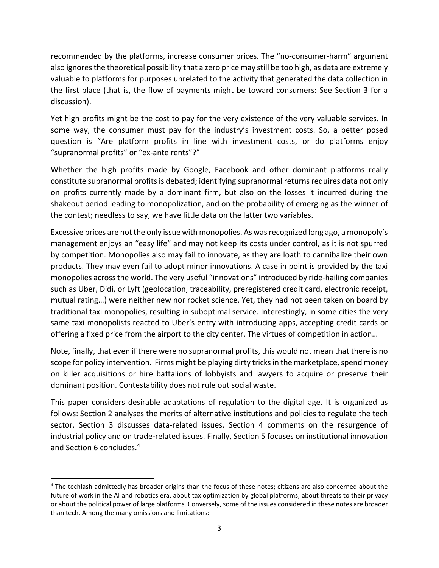recommended by the platforms, increase consumer prices. The "no‐consumer‐harm" argument also ignores the theoretical possibility that a zero price may still be too high, as data are extremely valuable to platforms for purposes unrelated to the activity that generated the data collection in the first place (that is, the flow of payments might be toward consumers: See Section 3 for a discussion).

Yet high profits might be the cost to pay for the very existence of the very valuable services. In some way, the consumer must pay for the industry's investment costs. So, a better posed question is "Are platform profits in line with investment costs, or do platforms enjoy "supranormal profits" or "ex‐ante rents"?"

Whether the high profits made by Google, Facebook and other dominant platforms really constitute supranormal profits is debated; identifying supranormal returns requires data not only on profits currently made by a dominant firm, but also on the losses it incurred during the shakeout period leading to monopolization, and on the probability of emerging as the winner of the contest; needless to say, we have little data on the latter two variables.

Excessive prices are not the only issue with monopolies. As was recognized long ago, a monopoly's management enjoys an "easy life" and may not keep its costs under control, as it is not spurred by competition. Monopolies also may fail to innovate, as they are loath to cannibalize their own products. They may even fail to adopt minor innovations. A case in point is provided by the taxi monopolies across the world. The very useful "innovations" introduced by ride‐hailing companies such as Uber, Didi, or Lyft (geolocation, traceability, preregistered credit card, electronic receipt, mutual rating…) were neither new nor rocket science. Yet, they had not been taken on board by traditional taxi monopolies, resulting in suboptimal service. Interestingly, in some cities the very same taxi monopolists reacted to Uber's entry with introducing apps, accepting credit cards or offering a fixed price from the airport to the city center. The virtues of competition in action…

Note, finally, that even if there were no supranormal profits, this would not mean that there is no scope for policy intervention. Firms might be playing dirty tricks in the marketplace, spend money on killer acquisitions or hire battalions of lobbyists and lawyers to acquire or preserve their dominant position. Contestability does not rule out social waste.

This paper considers desirable adaptations of regulation to the digital age. It is organized as follows: Section 2 analyses the merits of alternative institutions and policies to regulate the tech sector. Section 3 discusses data-related issues. Section 4 comments on the resurgence of industrial policy and on trade‐related issues. Finally, Section 5 focuses on institutional innovation and Section 6 concludes.<sup>4</sup>

<sup>&</sup>lt;sup>4</sup> The techlash admittedly has broader origins than the focus of these notes; citizens are also concerned about the future of work in the AI and robotics era, about tax optimization by global platforms, about threats to their privacy or about the political power of large platforms. Conversely, some of the issues considered in these notes are broader than tech. Among the many omissions and limitations: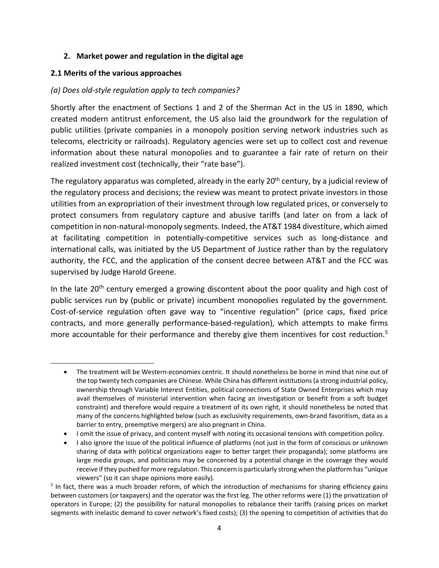#### **2. Market power and regulation in the digital age**

#### **2.1 Merits of the various approaches**

#### *(a) Does old‐style regulation apply to tech companies?*

Shortly after the enactment of Sections 1 and 2 of the Sherman Act in the US in 1890, which created modern antitrust enforcement, the US also laid the groundwork for the regulation of public utilities (private companies in a monopoly position serving network industries such as telecoms, electricity or railroads). Regulatory agencies were set up to collect cost and revenue information about these natural monopolies and to guarantee a fair rate of return on their realized investment cost (technically, their "rate base").

The regulatory apparatus was completed, already in the early 20<sup>th</sup> century, by a judicial review of the regulatory process and decisions; the review was meant to protect private investors in those utilities from an expropriation of their investment through low regulated prices, or conversely to protect consumers from regulatory capture and abusive tariffs (and later on from a lack of competition in non‐natural‐monopoly segments. Indeed, the AT&T 1984 divestiture, which aimed at facilitating competition in potentially‐competitive services such as long‐distance and international calls, was initiated by the US Department of Justice rather than by the regulatory authority, the FCC, and the application of the consent decree between AT&T and the FCC was supervised by Judge Harold Greene.

In the late  $20<sup>th</sup>$  century emerged a growing discontent about the poor quality and high cost of public services run by (public or private) incumbent monopolies regulated by the government. Cost-of-service regulation often gave way to "incentive regulation" (price caps, fixed price contracts, and more generally performance‐based‐regulation), which attempts to make firms more accountable for their performance and thereby give them incentives for cost reduction.<sup>5</sup>

<sup>●</sup> The treatment will be Western-economies centric. It should nonetheless be borne in mind that nine out of the top twenty tech companies are Chinese. While China has different institutions (a strong industrial policy, ownership through Variable Interest Entities, political connections of State Owned Enterprises which may avail themselves of ministerial intervention when facing an investigation or benefit from a soft budget constraint) and therefore would require a treatment of its own right, it should nonetheless be noted that many of the concerns highlighted below (such as exclusivity requirements, own-brand favoritism, data as a barrier to entry, preemptive mergers) are also pregnant in China.

I omit the issue of privacy, and content myself with noting its occasional tensions with competition policy.

I also ignore the issue of the political influence of platforms (not just in the form of conscious or unknown sharing of data with political organizations eager to better target their propaganda); some platforms are large media groups, and politicians may be concerned by a potential change in the coverage they would receive if they pushed for more regulation. This concern is particularly strong when the platform has "unique viewers" (so it can shape opinions more easily).

<sup>&</sup>lt;sup>5</sup> In fact, there was a much broader reform, of which the introduction of mechanisms for sharing efficiency gains between customers (or taxpayers) and the operator was the first leg. The other reforms were (1) the privatization of operators in Europe; (2) the possibility for natural monopolies to rebalance their tariffs (raising prices on market segments with inelastic demand to cover network's fixed costs); (3) the opening to competition of activities that do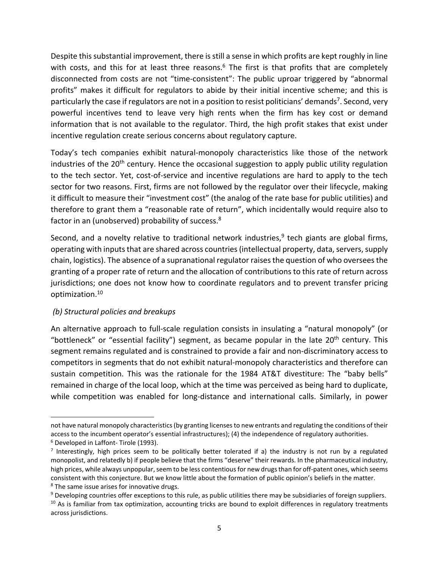Despite this substantial improvement, there is still a sense in which profits are kept roughly in line with costs, and this for at least three reasons.<sup>6</sup> The first is that profits that are completely disconnected from costs are not "time‐consistent": The public uproar triggered by "abnormal profits" makes it difficult for regulators to abide by their initial incentive scheme; and this is particularly the case if regulators are not in a position to resist politicians' demands<sup>7</sup>. Second, very powerful incentives tend to leave very high rents when the firm has key cost or demand information that is not available to the regulator. Third, the high profit stakes that exist under incentive regulation create serious concerns about regulatory capture.

Today's tech companies exhibit natural-monopoly characteristics like those of the network industries of the  $20<sup>th</sup>$  century. Hence the occasional suggestion to apply public utility regulation to the tech sector. Yet, cost-of-service and incentive regulations are hard to apply to the tech sector for two reasons. First, firms are not followed by the regulator over their lifecycle, making it difficult to measure their "investment cost" (the analog of the rate base for public utilities) and therefore to grant them a "reasonable rate of return", which incidentally would require also to factor in an (unobserved) probability of success.<sup>8</sup>

Second, and a novelty relative to traditional network industries,  $9$  tech giants are global firms, operating with inputs that are shared across countries (intellectual property, data, servers, supply chain, logistics). The absence of a supranational regulator raises the question of who oversees the granting of a proper rate of return and the allocation of contributions to this rate of return across jurisdictions; one does not know how to coordinate regulators and to prevent transfer pricing optimization.10

#### *(b) Structural policies and breakups*

An alternative approach to full-scale regulation consists in insulating a "natural monopoly" (or "bottleneck" or "essential facility") segment, as became popular in the late 20<sup>th</sup> century. This segment remains regulated and is constrained to provide a fair and non-discriminatory access to competitors in segments that do not exhibit natural‐monopoly characteristics and therefore can sustain competition. This was the rationale for the 1984 AT&T divestiture: The "baby bells" remained in charge of the local loop, which at the time was perceived as being hard to duplicate, while competition was enabled for long-distance and international calls. Similarly, in power

not have natural monopoly characteristics (by granting licenses to new entrants and regulating the conditions of their access to the incumbent operator's essential infrastructures); (4) the independence of regulatory authorities. 6 Developed in Laffont‐ Tirole (1993).

<sup>&</sup>lt;sup>7</sup> Interestingly, high prices seem to be politically better tolerated if a) the industry is not run by a regulated monopolist, and relatedly b) if people believe that the firms "deserve" their rewards. In the pharmaceutical industry, high prices, while always unpopular, seem to be less contentious for new drugs than for off-patent ones, which seems consistent with this conjecture. But we know little about the formation of public opinion's beliefs in the matter. 8 The same issue arises for innovative drugs.

<sup>&</sup>lt;sup>9</sup> Developing countries offer exceptions to this rule, as public utilities there may be subsidiaries of foreign suppliers.

<sup>&</sup>lt;sup>10</sup> As is familiar from tax optimization, accounting tricks are bound to exploit differences in regulatory treatments across jurisdictions.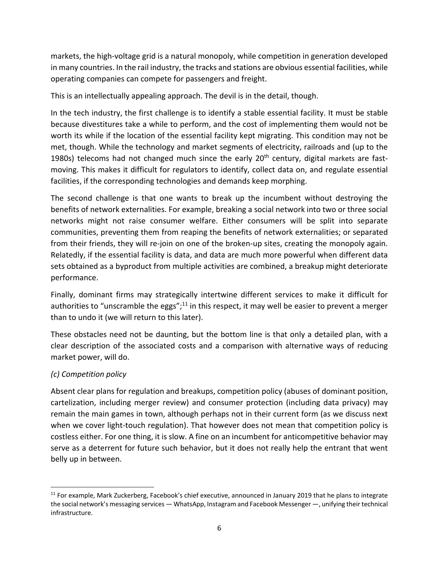markets, the high‐voltage grid is a natural monopoly, while competition in generation developed in many countries. In the rail industry, the tracks and stations are obvious essential facilities, while operating companies can compete for passengers and freight.

This is an intellectually appealing approach. The devil is in the detail, though.

In the tech industry, the first challenge is to identify a stable essential facility. It must be stable because divestitures take a while to perform, and the cost of implementing them would not be worth its while if the location of the essential facility kept migrating. This condition may not be met, though. While the technology and market segments of electricity, railroads and (up to the 1980s) telecoms had not changed much since the early  $20<sup>th</sup>$  century, digital markets are fastmoving. This makes it difficult for regulators to identify, collect data on, and regulate essential facilities, if the corresponding technologies and demands keep morphing.

The second challenge is that one wants to break up the incumbent without destroying the benefits of network externalities. For example, breaking a social network into two or three social networks might not raise consumer welfare. Either consumers will be split into separate communities, preventing them from reaping the benefits of network externalities; or separated from their friends, they will re-join on one of the broken-up sites, creating the monopoly again. Relatedly, if the essential facility is data, and data are much more powerful when different data sets obtained as a byproduct from multiple activities are combined, a breakup might deteriorate performance.

Finally, dominant firms may strategically intertwine different services to make it difficult for authorities to "unscramble the eggs";<sup>11</sup> in this respect, it may well be easier to prevent a merger than to undo it (we will return to this later).

These obstacles need not be daunting, but the bottom line is that only a detailed plan, with a clear description of the associated costs and a comparison with alternative ways of reducing market power, will do.

## *(c) Competition policy*

Absent clear plans for regulation and breakups, competition policy (abuses of dominant position, cartelization, including merger review) and consumer protection (including data privacy) may remain the main games in town, although perhaps not in their current form (as we discuss next when we cover light-touch regulation). That however does not mean that competition policy is costless either. For one thing, it is slow. A fine on an incumbent for anticompetitive behavior may serve as a deterrent for future such behavior, but it does not really help the entrant that went belly up in between.

 $11$  For example, Mark Zuckerberg, Facebook's chief executive, announced in January 2019 that he plans to integrate the social network's messaging services — WhatsApp, Instagram and Facebook Messenger —, unifying their technical infrastructure.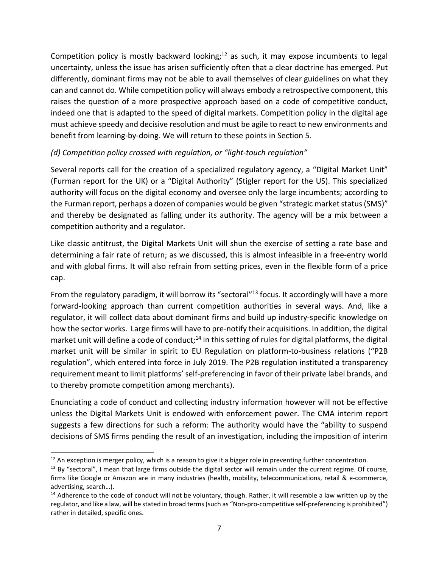Competition policy is mostly backward looking;<sup>12</sup> as such, it may expose incumbents to legal uncertainty, unless the issue has arisen sufficiently often that a clear doctrine has emerged. Put differently, dominant firms may not be able to avail themselves of clear guidelines on what they can and cannot do. While competition policy will always embody a retrospective component, this raises the question of a more prospective approach based on a code of competitive conduct, indeed one that is adapted to the speed of digital markets. Competition policy in the digital age must achieve speedy and decisive resolution and must be agile to react to new environments and benefit from learning‐by‐doing. We will return to these points in Section 5.

## *(d) Competition policy crossed with regulation, or "light‐touch regulation"*

Several reports call for the creation of a specialized regulatory agency, a "Digital Market Unit" (Furman report for the UK) or a "Digital Authority" (Stigler report for the US). This specialized authority will focus on the digital economy and oversee only the large incumbents; according to the Furman report, perhaps a dozen of companies would be given "strategic market status (SMS)" and thereby be designated as falling under its authority. The agency will be a mix between a competition authority and a regulator.

Like classic antitrust, the Digital Markets Unit will shun the exercise of setting a rate base and determining a fair rate of return; as we discussed, this is almost infeasible in a free‐entry world and with global firms. It will also refrain from setting prices, even in the flexible form of a price cap.

From the regulatory paradigm, it will borrow its "sectoral"<sup>13</sup> focus. It accordingly will have a more forward-looking approach than current competition authorities in several ways. And, like a regulator, it will collect data about dominant firms and build up industry‐specific knowledge on how the sector works. Large firms will have to pre-notify their acquisitions. In addition, the digital market unit will define a code of conduct;<sup>14</sup> in this setting of rules for digital platforms, the digital market unit will be similar in spirit to EU Regulation on platform-to-business relations ("P2B regulation", which entered into force in July 2019. The P2B regulation instituted a transparency requirement meant to limit platforms' self‐preferencing in favor of their private label brands, and to thereby promote competition among merchants).

Enunciating a code of conduct and collecting industry information however will not be effective unless the Digital Markets Unit is endowed with enforcement power. The CMA interim report suggests a few directions for such a reform: The authority would have the "ability to suspend decisions of SMS firms pending the result of an investigation, including the imposition of interim

 $12$  An exception is merger policy, which is a reason to give it a bigger role in preventing further concentration.

 $<sup>13</sup>$  By "sectoral", I mean that large firms outside the digital sector will remain under the current regime. Of course,</sup> firms like Google or Amazon are in many industries (health, mobility, telecommunications, retail & e-commerce, advertising, search…).

 $14$  Adherence to the code of conduct will not be voluntary, though. Rather, it will resemble a law written up by the regulator, and like a law, will be stated in broad terms (such as "Non‐pro‐competitive self‐preferencing is prohibited") rather in detailed, specific ones.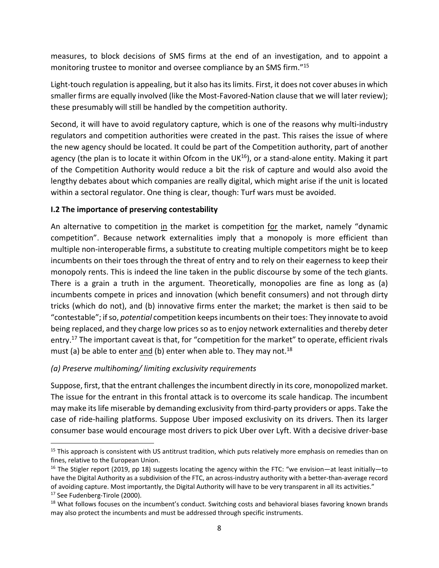measures, to block decisions of SMS firms at the end of an investigation, and to appoint a monitoring trustee to monitor and oversee compliance by an SMS firm."15

Light‐touch regulation is appealing, but it also has its limits. First, it does not cover abuses in which smaller firms are equally involved (like the Most‐Favored‐Nation clause that we will later review); these presumably will still be handled by the competition authority.

Second, it will have to avoid regulatory capture, which is one of the reasons why multi-industry regulators and competition authorities were created in the past. This raises the issue of where the new agency should be located. It could be part of the Competition authority, part of another agency (the plan is to locate it within Ofcom in the UK $^{16}$ ), or a stand-alone entity. Making it part of the Competition Authority would reduce a bit the risk of capture and would also avoid the lengthy debates about which companies are really digital, which might arise if the unit is located within a sectoral regulator. One thing is clear, though: Turf wars must be avoided.

#### **I.2 The importance of preserving contestability**

An alternative to competition in the market is competition for the market, namely "dynamic competition". Because network externalities imply that a monopoly is more efficient than multiple non‐interoperable firms, a substitute to creating multiple competitors might be to keep incumbents on their toes through the threat of entry and to rely on their eagerness to keep their monopoly rents. This is indeed the line taken in the public discourse by some of the tech giants. There is a grain a truth in the argument. Theoretically, monopolies are fine as long as (a) incumbents compete in prices and innovation (which benefit consumers) and not through dirty tricks (which do not), and (b) innovative firms enter the market; the market is then said to be "contestable"; if so, *potential* competition keeps incumbents on their toes: They innovate to avoid being replaced, and they charge low prices so as to enjoy network externalities and thereby deter entry.<sup>17</sup> The important caveat is that, for "competition for the market" to operate, efficient rivals must (a) be able to enter and (b) enter when able to. They may not.<sup>18</sup>

## *(a) Preserve multihoming/ limiting exclusivity requirements*

Suppose, first, that the entrant challenges the incumbent directly in its core, monopolized market. The issue for the entrant in this frontal attack is to overcome its scale handicap. The incumbent may make its life miserable by demanding exclusivity from third‐party providers or apps. Take the case of ride‐hailing platforms. Suppose Uber imposed exclusivity on its drivers. Then its larger consumer base would encourage most drivers to pick Uber over Lyft. With a decisive driver‐base

<sup>&</sup>lt;sup>15</sup> This approach is consistent with US antitrust tradition, which puts relatively more emphasis on remedies than on fines, relative to the European Union.

<sup>&</sup>lt;sup>16</sup> The Stigler report (2019, pp 18) suggests locating the agency within the FTC: "we envision—at least initially—to have the Digital Authority as a subdivision of the FTC, an across-industry authority with a better-than-average record of avoiding capture. Most importantly, the Digital Authority will have to be very transparent in all its activities." <sup>17</sup> See Fudenberg-Tirole (2000).

<sup>&</sup>lt;sup>18</sup> What follows focuses on the incumbent's conduct. Switching costs and behavioral biases favoring known brands may also protect the incumbents and must be addressed through specific instruments.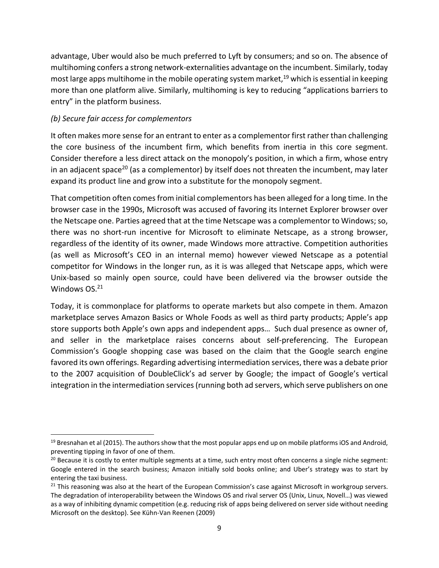advantage, Uber would also be much preferred to Lyft by consumers; and so on. The absence of multihoming confers a strong network‐externalities advantage on the incumbent. Similarly, today most large apps multihome in the mobile operating system market, 19 which is essential in keeping more than one platform alive. Similarly, multihoming is key to reducing "applications barriers to entry" in the platform business.

#### *(b) Secure fair access for complementors*

It often makes more sense for an entrant to enter as a complementor first rather than challenging the core business of the incumbent firm, which benefits from inertia in this core segment. Consider therefore a less direct attack on the monopoly's position, in which a firm, whose entry in an adjacent space<sup>20</sup> (as a complementor) by itself does not threaten the incumbent, may later expand its product line and grow into a substitute for the monopoly segment.

That competition often comes from initial complementors has been alleged for a long time. In the browser case in the 1990s, Microsoft was accused of favoring its Internet Explorer browser over the Netscape one. Parties agreed that at the time Netscape was a complementor to Windows; so, there was no short-run incentive for Microsoft to eliminate Netscape, as a strong browser, regardless of the identity of its owner, made Windows more attractive. Competition authorities (as well as Microsoft's CEO in an internal memo) however viewed Netscape as a potential competitor for Windows in the longer run, as it is was alleged that Netscape apps, which were Unix‐based so mainly open source, could have been delivered via the browser outside the Windows OS.<sup>21</sup>

Today, it is commonplace for platforms to operate markets but also compete in them. Amazon marketplace serves Amazon Basics or Whole Foods as well as third party products; Apple's app store supports both Apple's own apps and independent apps… Such dual presence as owner of, and seller in the marketplace raises concerns about self-preferencing. The European Commission's Google shopping case was based on the claim that the Google search engine favored its own offerings. Regarding advertising intermediation services, there was a debate prior to the 2007 acquisition of DoubleClick's ad server by Google; the impact of Google's vertical integration in the intermediation services (running both ad servers, which serve publishers on one

 $19$  Bresnahan et al (2015). The authors show that the most popular apps end up on mobile platforms iOS and Android, preventing tipping in favor of one of them.

 $20$  Because it is costly to enter multiple segments at a time, such entry most often concerns a single niche segment: Google entered in the search business; Amazon initially sold books online; and Uber's strategy was to start by entering the taxi business.

 $21$  This reasoning was also at the heart of the European Commission's case against Microsoft in workgroup servers. The degradation of interoperability between the Windows OS and rival server OS (Unix, Linux, Novell…) was viewed as a way of inhibiting dynamic competition (e.g. reducing risk of apps being delivered on server side without needing Microsoft on the desktop). See Kühn‐Van Reenen (2009)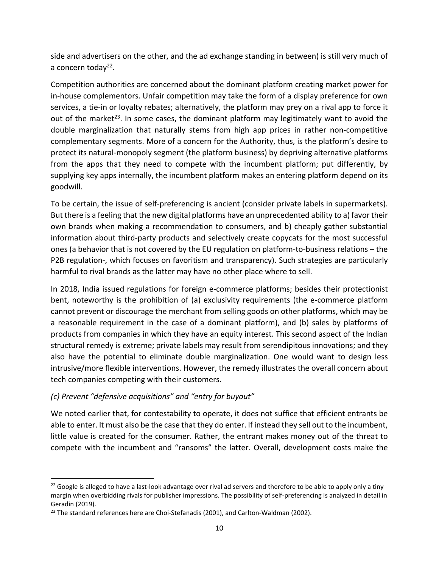side and advertisers on the other, and the ad exchange standing in between) is still very much of a concern today<sup>22</sup>.

Competition authorities are concerned about the dominant platform creating market power for in-house complementors. Unfair competition may take the form of a display preference for own services, a tie-in or loyalty rebates; alternatively, the platform may prey on a rival app to force it out of the market<sup>23</sup>. In some cases, the dominant platform may legitimately want to avoid the double marginalization that naturally stems from high app prices in rather non-competitive complementary segments. More of a concern for the Authority, thus, is the platform's desire to protect its natural‐monopoly segment (the platform business) by depriving alternative platforms from the apps that they need to compete with the incumbent platform; put differently, by supplying key apps internally, the incumbent platform makes an entering platform depend on its goodwill.

To be certain, the issue of self‐preferencing is ancient (consider private labels in supermarkets). But there is a feeling that the new digital platforms have an unprecedented ability to a) favor their own brands when making a recommendation to consumers, and b) cheaply gather substantial information about third‐party products and selectively create copycats for the most successful ones (a behavior that is not covered by the EU regulation on platform‐to‐business relations – the P2B regulation-, which focuses on favoritism and transparency). Such strategies are particularly harmful to rival brands as the latter may have no other place where to sell.

In 2018, India issued regulations for foreign e-commerce platforms; besides their protectionist bent, noteworthy is the prohibition of (a) exclusivity requirements (the e-commerce platform cannot prevent or discourage the merchant from selling goods on other platforms, which may be a reasonable requirement in the case of a dominant platform), and (b) sales by platforms of products from companies in which they have an equity interest. This second aspect of the Indian structural remedy is extreme; private labels may result from serendipitous innovations; and they also have the potential to eliminate double marginalization. One would want to design less intrusive/more flexible interventions. However, the remedy illustrates the overall concern about tech companies competing with their customers.

## *(c) Prevent "defensive acquisitions" and "entry for buyout"*

We noted earlier that, for contestability to operate, it does not suffice that efficient entrants be able to enter. It must also be the case that they do enter. If instead they sell out to the incumbent, little value is created for the consumer. Rather, the entrant makes money out of the threat to compete with the incumbent and "ransoms" the latter. Overall, development costs make the

 $^{22}$  Google is alleged to have a last-look advantage over rival ad servers and therefore to be able to apply only a tiny margin when overbidding rivals for publisher impressions. The possibility of self‐preferencing is analyzed in detail in Geradin (2019).

<sup>&</sup>lt;sup>23</sup> The standard references here are Choi-Stefanadis (2001), and Carlton-Waldman (2002).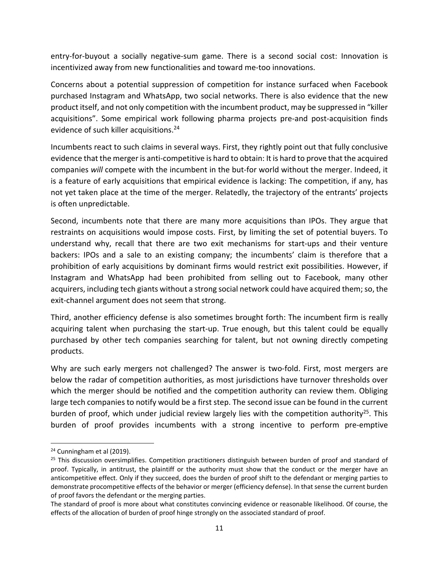entry-for-buyout a socially negative-sum game. There is a second social cost: Innovation is incentivized away from new functionalities and toward me‐too innovations.

Concerns about a potential suppression of competition for instance surfaced when Facebook purchased Instagram and WhatsApp, two social networks. There is also evidence that the new product itself, and not only competition with the incumbent product, may be suppressed in "killer acquisitions". Some empirical work following pharma projects pre‐and post‐acquisition finds evidence of such killer acquisitions.<sup>24</sup>

Incumbents react to such claims in several ways. First, they rightly point out that fully conclusive evidence that the merger is anti-competitive is hard to obtain: It is hard to prove that the acquired companies *will* compete with the incumbent in the but-for world without the merger. Indeed, it is a feature of early acquisitions that empirical evidence is lacking: The competition, if any, has not yet taken place at the time of the merger. Relatedly, the trajectory of the entrants' projects is often unpredictable.

Second, incumbents note that there are many more acquisitions than IPOs. They argue that restraints on acquisitions would impose costs. First, by limiting the set of potential buyers. To understand why, recall that there are two exit mechanisms for start-ups and their venture backers: IPOs and a sale to an existing company; the incumbents' claim is therefore that a prohibition of early acquisitions by dominant firms would restrict exit possibilities. However, if Instagram and WhatsApp had been prohibited from selling out to Facebook, many other acquirers, including tech giants without a strong social network could have acquired them; so, the exit-channel argument does not seem that strong.

Third, another efficiency defense is also sometimes brought forth: The incumbent firm is really acquiring talent when purchasing the start-up. True enough, but this talent could be equally purchased by other tech companies searching for talent, but not owning directly competing products.

Why are such early mergers not challenged? The answer is two-fold. First, most mergers are below the radar of competition authorities, as most jurisdictions have turnover thresholds over which the merger should be notified and the competition authority can review them. Obliging large tech companies to notify would be a first step. The second issue can be found in the current burden of proof, which under judicial review largely lies with the competition authority<sup>25</sup>. This burden of proof provides incumbents with a strong incentive to perform pre‐emptive

<sup>&</sup>lt;sup>24</sup> Cunningham et al (2019).

 $25$  This discussion oversimplifies. Competition practitioners distinguish between burden of proof and standard of proof. Typically, in antitrust, the plaintiff or the authority must show that the conduct or the merger have an anticompetitive effect. Only if they succeed, does the burden of proof shift to the defendant or merging parties to demonstrate procompetitive effects of the behavior or merger (efficiency defense). In that sense the current burden of proof favors the defendant or the merging parties.

The standard of proof is more about what constitutes convincing evidence or reasonable likelihood. Of course, the effects of the allocation of burden of proof hinge strongly on the associated standard of proof.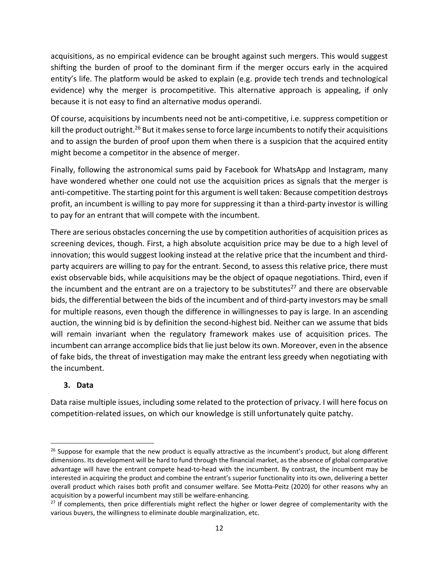acquisitions, as no empirical evidence can be brought against such mergers. This would suggest shifting the burden of proof to the dominant firm if the merger occurs early in the acquired entity's life. The platform would be asked to explain (e.g. provide tech trends and technological evidence) why the merger is procompetitive. This alternative approach is appealing, if only because it is not easy to find an alternative modus operandi.

Of course, acquisitions by incumbents need not be anti‐competitive, i.e. suppress competition or kill the product outright.<sup>26</sup> But it makes sense to force large incumbents to notify their acquisitions and to assign the burden of proof upon them when there is a suspicion that the acquired entity might become a competitor in the absence of merger.

Finally, following the astronomical sums paid by Facebook for WhatsApp and Instagram, many have wondered whether one could not use the acquisition prices as signals that the merger is anti-competitive. The starting point for this argument is well taken: Because competition destroys profit, an incumbent is willing to pay more for suppressing it than a third‐party investor is willing to pay for an entrant that will compete with the incumbent.

There are serious obstacles concerning the use by competition authorities of acquisition prices as screening devices, though. First, a high absolute acquisition price may be due to a high level of innovation; this would suggest looking instead at the relative price that the incumbent and third‐ party acquirers are willing to pay for the entrant. Second, to assess this relative price, there must exist observable bids, while acquisitions may be the object of opaque negotiations. Third, even if the incumbent and the entrant are on a trajectory to be substitutes $^{27}$  and there are observable bids, the differential between the bids of the incumbent and of third‐party investors may be small for multiple reasons, even though the difference in willingnesses to pay is large. In an ascending auction, the winning bid is by definition the second-highest bid. Neither can we assume that bids will remain invariant when the regulatory framework makes use of acquisition prices. The incumbent can arrange accomplice bids that lie just below its own. Moreover, even in the absence of fake bids, the threat of investigation may make the entrant less greedy when negotiating with the incumbent.

## **3. Data**

Data raise multiple issues, including some related to the protection of privacy. I will here focus on competition‐related issues, on which our knowledge is still unfortunately quite patchy.

 $26$  Suppose for example that the new product is equally attractive as the incumbent's product, but along different dimensions. Its development will be hard to fund through the financial market, as the absence of global comparative advantage will have the entrant compete head-to-head with the incumbent. By contrast, the incumbent may be interested in acquiring the product and combine the entrant's superior functionality into its own, delivering a better overall product which raises both profit and consumer welfare. See Motta‐Peitz (2020) for other reasons why an acquisition by a powerful incumbent may still be welfare‐enhancing.

<sup>&</sup>lt;sup>27</sup> If complements, then price differentials might reflect the higher or lower degree of complementarity with the various buyers, the willingness to eliminate double marginalization, etc.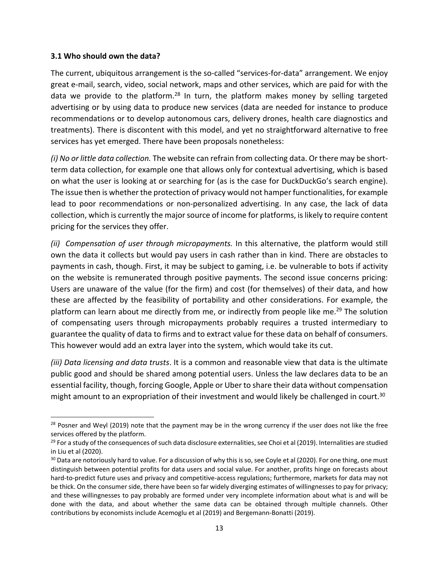#### **3.1 Who should own the data?**

The current, ubiquitous arrangement is the so-called "services-for-data" arrangement. We enjoy great e‐mail, search, video, social network, maps and other services, which are paid for with the data we provide to the platform.<sup>28</sup> In turn, the platform makes money by selling targeted advertising or by using data to produce new services (data are needed for instance to produce recommendations or to develop autonomous cars, delivery drones, health care diagnostics and treatments). There is discontent with this model, and yet no straightforward alternative to free services has yet emerged. There have been proposals nonetheless:

*(i) No or little data collection.* The website can refrain from collecting data. Or there may be short‐ term data collection, for example one that allows only for contextual advertising, which is based on what the user is looking at or searching for (as is the case for DuckDuckGo's search engine). The issue then is whether the protection of privacy would not hamper functionalities, for example lead to poor recommendations or non-personalized advertising. In any case, the lack of data collection, which is currently the major source of income for platforms, is likely to require content pricing for the services they offer.

*(ii) Compensation of user through micropayments.* In this alternative, the platform would still own the data it collects but would pay users in cash rather than in kind. There are obstacles to payments in cash, though. First, it may be subject to gaming, i.e. be vulnerable to bots if activity on the website is remunerated through positive payments. The second issue concerns pricing: Users are unaware of the value (for the firm) and cost (for themselves) of their data, and how these are affected by the feasibility of portability and other considerations. For example, the platform can learn about me directly from me, or indirectly from people like me.<sup>29</sup> The solution of compensating users through micropayments probably requires a trusted intermediary to guarantee the quality of data to firms and to extract value for these data on behalf of consumers. This however would add an extra layer into the system, which would take its cut.

*(iii) Data licensing and data trusts*. It is a common and reasonable view that data is the ultimate public good and should be shared among potential users. Unless the law declares data to be an essential facility, though, forcing Google, Apple or Uber to share their data without compensation might amount to an expropriation of their investment and would likely be challenged in court.<sup>30</sup>

<sup>&</sup>lt;sup>28</sup> Posner and Weyl (2019) note that the payment may be in the wrong currency if the user does not like the free services offered by the platform.

 $29$  For a study of the consequences of such data disclosure externalities, see Choi et al (2019). Internalities are studied in Liu et al (2020).

<sup>&</sup>lt;sup>30</sup> Data are notoriously hard to value. For a discussion of why this is so, see Coyle et al (2020). For one thing, one must distinguish between potential profits for data users and social value. For another, profits hinge on forecasts about hard-to-predict future uses and privacy and competitive-access regulations; furthermore, markets for data may not be thick. On the consumer side, there have been so far widely diverging estimates of willingnesses to pay for privacy; and these willingnesses to pay probably are formed under very incomplete information about what is and will be done with the data, and about whether the same data can be obtained through multiple channels. Other contributions by economists include Acemoglu et al (2019) and Bergemann‐Bonatti (2019).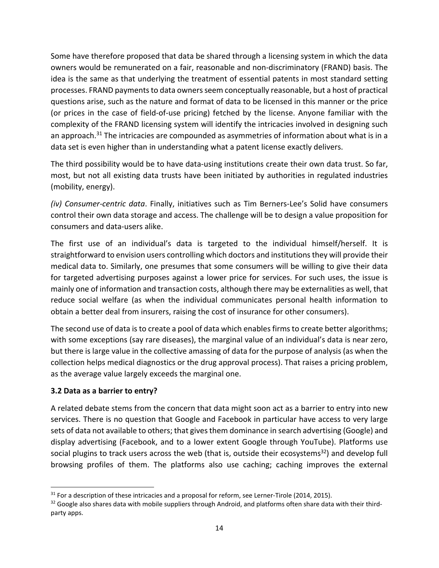Some have therefore proposed that data be shared through a licensing system in which the data owners would be remunerated on a fair, reasonable and non‐discriminatory (FRAND) basis. The idea is the same as that underlying the treatment of essential patents in most standard setting processes. FRAND payments to data owners seem conceptually reasonable, but a host of practical questions arise, such as the nature and format of data to be licensed in this manner or the price (or prices in the case of field‐of‐use pricing) fetched by the license. Anyone familiar with the complexity of the FRAND licensing system will identify the intricacies involved in designing such an approach.<sup>31</sup> The intricacies are compounded as asymmetries of information about what is in a data set is even higher than in understanding what a patent license exactly delivers.

The third possibility would be to have data‐using institutions create their own data trust. So far, most, but not all existing data trusts have been initiated by authorities in regulated industries (mobility, energy).

*(iv) Consumer‐centric data*. Finally, initiatives such as Tim Berners‐Lee's Solid have consumers control their own data storage and access. The challenge will be to design a value proposition for consumers and data‐users alike.

The first use of an individual's data is targeted to the individual himself/herself. It is straightforward to envision users controlling which doctors and institutions they will provide their medical data to. Similarly, one presumes that some consumers will be willing to give their data for targeted advertising purposes against a lower price for services. For such uses, the issue is mainly one of information and transaction costs, although there may be externalities as well, that reduce social welfare (as when the individual communicates personal health information to obtain a better deal from insurers, raising the cost of insurance for other consumers).

The second use of data is to create a pool of data which enables firms to create better algorithms; with some exceptions (say rare diseases), the marginal value of an individual's data is near zero, but there is large value in the collective amassing of data for the purpose of analysis (as when the collection helps medical diagnostics or the drug approval process). That raises a pricing problem, as the average value largely exceeds the marginal one.

## **3.2 Data as a barrier to entry?**

A related debate stems from the concern that data might soon act as a barrier to entry into new services. There is no question that Google and Facebook in particular have access to very large sets of data not available to others; that gives them dominance in search advertising (Google) and display advertising (Facebook, and to a lower extent Google through YouTube). Platforms use social plugins to track users across the web (that is, outside their ecosystems<sup>32</sup>) and develop full browsing profiles of them. The platforms also use caching; caching improves the external

 $31$  For a description of these intricacies and a proposal for reform, see Lerner-Tirole (2014, 2015).

 $32$  Google also shares data with mobile suppliers through Android, and platforms often share data with their thirdparty apps.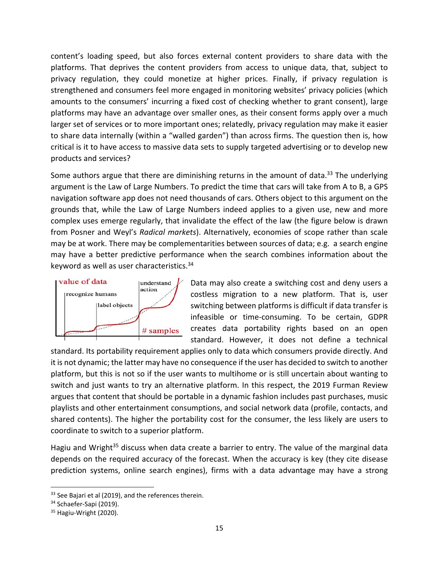content's loading speed, but also forces external content providers to share data with the platforms. That deprives the content providers from access to unique data, that, subject to privacy regulation, they could monetize at higher prices. Finally, if privacy regulation is strengthened and consumers feel more engaged in monitoring websites' privacy policies (which amounts to the consumers' incurring a fixed cost of checking whether to grant consent), large platforms may have an advantage over smaller ones, as their consent forms apply over a much larger set of services or to more important ones; relatedly, privacy regulation may make it easier to share data internally (within a "walled garden") than across firms. The question then is, how critical is it to have access to massive data sets to supply targeted advertising or to develop new products and services?

Some authors argue that there are diminishing returns in the amount of data.<sup>33</sup> The underlying argument is the Law of Large Numbers. To predict the time that cars will take from A to B, a GPS navigation software app does not need thousands of cars. Others object to this argument on the grounds that, while the Law of Large Numbers indeed applies to a given use, new and more complex uses emerge regularly, that invalidate the effect of the law (the figure below is drawn from Posner and Weyl's *Radical markets*). Alternatively, economies of scope rather than scale may be at work. There may be complementarities between sources of data; e.g. a search engine may have a better predictive performance when the search combines information about the keyword as well as user characteristics.34



Data may also create a switching cost and deny users a costless migration to a new platform. That is, user switching between platforms is difficult if data transfer is infeasible or time‐consuming. To be certain, GDPR creates data portability rights based on an open standard. However, it does not define a technical

standard. Its portability requirement applies only to data which consumers provide directly. And it is not dynamic; the latter may have no consequence if the user has decided to switch to another platform, but this is not so if the user wants to multihome or is still uncertain about wanting to switch and just wants to try an alternative platform. In this respect, the 2019 Furman Review argues that content that should be portable in a dynamic fashion includes past purchases, music playlists and other entertainment consumptions, and social network data (profile, contacts, and shared contents). The higher the portability cost for the consumer, the less likely are users to coordinate to switch to a superior platform.

Hagiu and Wright<sup>35</sup> discuss when data create a barrier to entry. The value of the marginal data depends on the required accuracy of the forecast. When the accuracy is key (they cite disease prediction systems, online search engines), firms with a data advantage may have a strong

<sup>&</sup>lt;sup>33</sup> See Bajari et al (2019), and the references therein.

<sup>34</sup> Schaefer-Sapi (2019).

<sup>&</sup>lt;sup>35</sup> Hagiu-Wright (2020).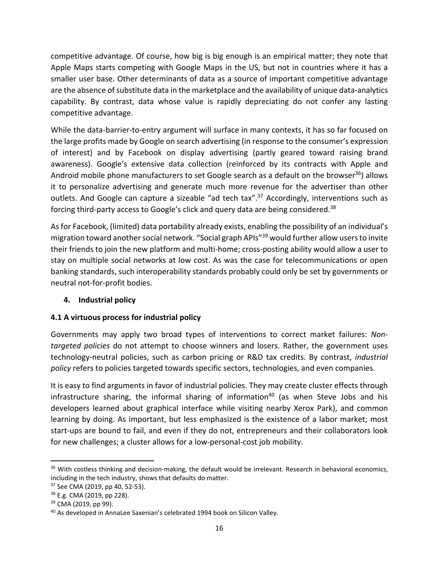competitive advantage. Of course, how big is big enough is an empirical matter; they note that Apple Maps starts competing with Google Maps in the US, but not in countries where it has a smaller user base. Other determinants of data as a source of important competitive advantage are the absence of substitute data in the marketplace and the availability of unique data-analytics capability. By contrast, data whose value is rapidly depreciating do not confer any lasting competitive advantage.

While the data-barrier-to-entry argument will surface in many contexts, it has so far focused on the large profits made by Google on search advertising (in response to the consumer's expression of interest) and by Facebook on display advertising (partly geared toward raising brand awareness). Google's extensive data collection (reinforced by its contracts with Apple and Android mobile phone manufacturers to set Google search as a default on the browser<sup>36</sup>) allows it to personalize advertising and generate much more revenue for the advertiser than other outlets. And Google can capture a sizeable "ad tech tax".<sup>37</sup> Accordingly, interventions such as forcing third-party access to Google's click and query data are being considered.<sup>38</sup>

As for Facebook, (limited) data portability already exists, enabling the possibility of an individual's migration toward another social network. "Social graph APIs"39 would further allow users to invite their friends to join the new platform and multi‐home; cross‐posting ability would allow a user to stay on multiple social networks at low cost. As was the case for telecommunications or open banking standards, such interoperability standards probably could only be set by governments or neutral not‐for‐profit bodies.

## **4. Industrial policy**

## **4.1 A virtuous process for industrial policy**

Governments may apply two broad types of interventions to correct market failures: *Non‐ targeted policies* do not attempt to choose winners and losers. Rather, the government uses technology‐neutral policies, such as carbon pricing or R&D tax credits. By contrast, *industrial policy* refers to policies targeted towards specific sectors, technologies, and even companies.

It is easy to find arguments in favor of industrial policies. They may create cluster effects through infrastructure sharing, the informal sharing of information<sup>40</sup> (as when Steve Jobs and his developers learned about graphical interface while visiting nearby Xerox Park), and common learning by doing. As important, but less emphasized is the existence of a labor market; most start‐ups are bound to fail, and even if they do not, entrepreneurs and their collaborators look for new challenges; a cluster allows for a low-personal-cost job mobility.

<sup>&</sup>lt;sup>36</sup> With costless thinking and decision-making, the default would be irrelevant. Research in behavioral economics, including in the tech industry, shows that defaults do matter.

<sup>37</sup> See CMA (2019, pp 40, 52‐53).

<sup>38</sup> E.g. CMA (2019, pp 228).

<sup>&</sup>lt;sup>39</sup> CMA (2019, pp 99).

<sup>&</sup>lt;sup>40</sup> As developed in AnnaLee Saxenian's celebrated 1994 book on Silicon Valley.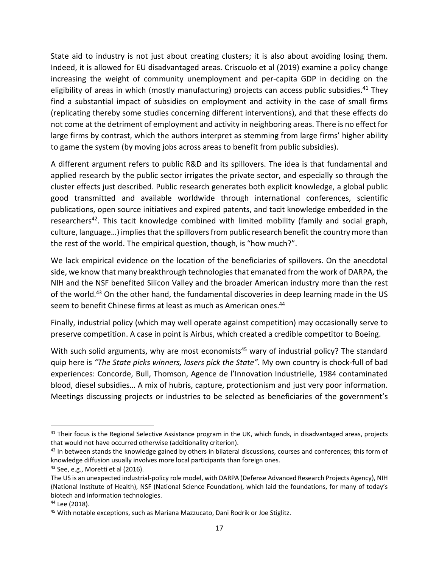State aid to industry is not just about creating clusters; it is also about avoiding losing them. Indeed, it is allowed for EU disadvantaged areas. Criscuolo et al (2019) examine a policy change increasing the weight of community unemployment and per-capita GDP in deciding on the eligibility of areas in which (mostly manufacturing) projects can access public subsidies.<sup>41</sup> They find a substantial impact of subsidies on employment and activity in the case of small firms (replicating thereby some studies concerning different interventions), and that these effects do not come at the detriment of employment and activity in neighboring areas. There is no effect for large firms by contrast, which the authors interpret as stemming from large firms' higher ability to game the system (by moving jobs across areas to benefit from public subsidies).

A different argument refers to public R&D and its spillovers. The idea is that fundamental and applied research by the public sector irrigates the private sector, and especially so through the cluster effects just described. Public research generates both explicit knowledge, a global public good transmitted and available worldwide through international conferences, scientific publications, open source initiatives and expired patents, and tacit knowledge embedded in the researchers<sup>42</sup>. This tacit knowledge combined with limited mobility (family and social graph, culture, language…) implies that the spillovers from public research benefit the country more than the rest of the world. The empirical question, though, is "how much?".

We lack empirical evidence on the location of the beneficiaries of spillovers. On the anecdotal side, we know that many breakthrough technologies that emanated from the work of DARPA, the NIH and the NSF benefited Silicon Valley and the broader American industry more than the rest of the world.<sup>43</sup> On the other hand, the fundamental discoveries in deep learning made in the US seem to benefit Chinese firms at least as much as American ones. 44

Finally, industrial policy (which may well operate against competition) may occasionally serve to preserve competition. A case in point is Airbus, which created a credible competitor to Boeing.

With such solid arguments, why are most economists<sup>45</sup> wary of industrial policy? The standard quip here is *"The State picks winners, losers pick the State"*. My own country is chock‐full of bad experiences: Concorde, Bull, Thomson, Agence de l'Innovation Industrielle, 1984 contaminated blood, diesel subsidies… A mix of hubris, capture, protectionism and just very poor information. Meetings discussing projects or industries to be selected as beneficiaries of the government's

 $41$  Their focus is the Regional Selective Assistance program in the UK, which funds, in disadvantaged areas, projects that would not have occurred otherwise (additionality criterion).

 $42$  In between stands the knowledge gained by others in bilateral discussions, courses and conferences; this form of knowledge diffusion usually involves more local participants than foreign ones.

<sup>43</sup> See, e.g., Moretti et al (2016).

The US is an unexpected industrial‐policy role model, with DARPA (Defense Advanced Research Projects Agency), NIH (National Institute of Health), NSF (National Science Foundation), which laid the foundations, for many of today's biotech and information technologies.

<sup>44</sup> Lee (2018).

<sup>45</sup> With notable exceptions, such as Mariana Mazzucato, Dani Rodrik or Joe Stiglitz.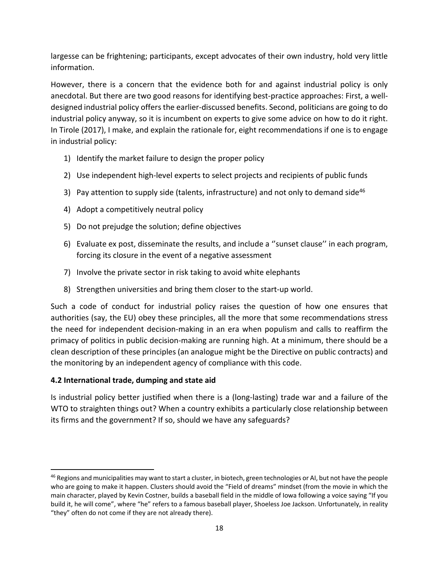largesse can be frightening; participants, except advocates of their own industry, hold very little information.

However, there is a concern that the evidence both for and against industrial policy is only anecdotal. But there are two good reasons for identifying best‐practice approaches: First, a well‐ designed industrial policy offers the earlier‐discussed benefits. Second, politicians are going to do industrial policy anyway, so it is incumbent on experts to give some advice on how to do it right. In Tirole (2017), I make, and explain the rationale for, eight recommendations if one is to engage in industrial policy:

- 1) Identify the market failure to design the proper policy
- 2) Use independent high-level experts to select projects and recipients of public funds
- 3) Pay attention to supply side (talents, infrastructure) and not only to demand side<sup>46</sup>
- 4) Adopt a competitively neutral policy
- 5) Do not prejudge the solution; define objectives
- 6) Evaluate ex post, disseminate the results, and include a ''sunset clause'' in each program, forcing its closure in the event of a negative assessment
- 7) Involve the private sector in risk taking to avoid white elephants
- 8) Strengthen universities and bring them closer to the start‐up world.

Such a code of conduct for industrial policy raises the question of how one ensures that authorities (say, the EU) obey these principles, all the more that some recommendations stress the need for independent decision‐making in an era when populism and calls to reaffirm the primacy of politics in public decision‐making are running high. At a minimum, there should be a clean description of these principles (an analogue might be the Directive on public contracts) and the monitoring by an independent agency of compliance with this code.

## **4.2 International trade, dumping and state aid**

Is industrial policy better justified when there is a (long‐lasting) trade war and a failure of the WTO to straighten things out? When a country exhibits a particularly close relationship between its firms and the government? If so, should we have any safeguards?

<sup>&</sup>lt;sup>46</sup> Regions and municipalities may want to start a cluster, in biotech, green technologies or AI, but not have the people who are going to make it happen. Clusters should avoid the "Field of dreams" mindset (from the movie in which the main character, played by Kevin Costner, builds a baseball field in the middle of Iowa following a voice saying "If you build it, he will come", where "he" refers to a famous baseball player, Shoeless Joe Jackson. Unfortunately, in reality "they" often do not come if they are not already there).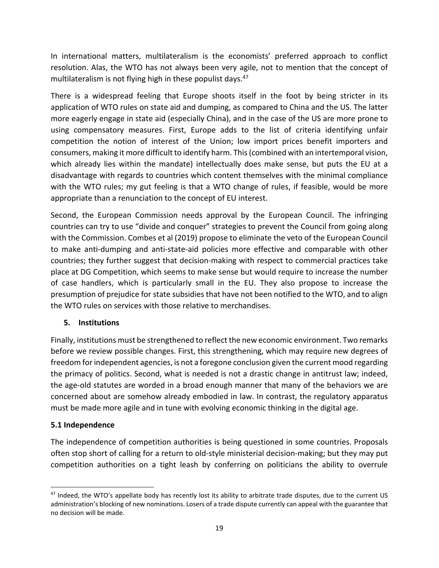In international matters, multilateralism is the economists' preferred approach to conflict resolution. Alas, the WTO has not always been very agile, not to mention that the concept of multilateralism is not flying high in these populist days.<sup>47</sup>

There is a widespread feeling that Europe shoots itself in the foot by being stricter in its application of WTO rules on state aid and dumping, as compared to China and the US. The latter more eagerly engage in state aid (especially China), and in the case of the US are more prone to using compensatory measures. First, Europe adds to the list of criteria identifying unfair competition the notion of interest of the Union; low import prices benefit importers and consumers, making it more difficult to identify harm. This (combined with an intertemporal vision, which already lies within the mandate) intellectually does make sense, but puts the EU at a disadvantage with regards to countries which content themselves with the minimal compliance with the WTO rules; my gut feeling is that a WTO change of rules, if feasible, would be more appropriate than a renunciation to the concept of EU interest.

Second, the European Commission needs approval by the European Council. The infringing countries can try to use "divide and conquer" strategies to prevent the Council from going along with the Commission. Combes et al (2019) propose to eliminate the veto of the European Council to make anti‐dumping and anti‐state‐aid policies more effective and comparable with other countries; they further suggest that decision‐making with respect to commercial practices take place at DG Competition, which seems to make sense but would require to increase the number of case handlers, which is particularly small in the EU. They also propose to increase the presumption of prejudice for state subsidies that have not been notified to the WTO, and to align the WTO rules on services with those relative to merchandises.

#### **5. Institutions**

Finally, institutions must be strengthened to reflect the new economic environment. Two remarks before we review possible changes. First, this strengthening, which may require new degrees of freedom for independent agencies, is not a foregone conclusion given the current mood regarding the primacy of politics. Second, what is needed is not a drastic change in antitrust law; indeed, the age‐old statutes are worded in a broad enough manner that many of the behaviors we are concerned about are somehow already embodied in law. In contrast, the regulatory apparatus must be made more agile and in tune with evolving economic thinking in the digital age.

## **5.1 Independence**

The independence of competition authorities is being questioned in some countries. Proposals often stop short of calling for a return to old‐style ministerial decision‐making; but they may put competition authorities on a tight leash by conferring on politicians the ability to overrule

 $47$  Indeed, the WTO's appellate body has recently lost its ability to arbitrate trade disputes, due to the current US administration's blocking of new nominations. Losers of a trade dispute currently can appeal with the guarantee that no decision will be made.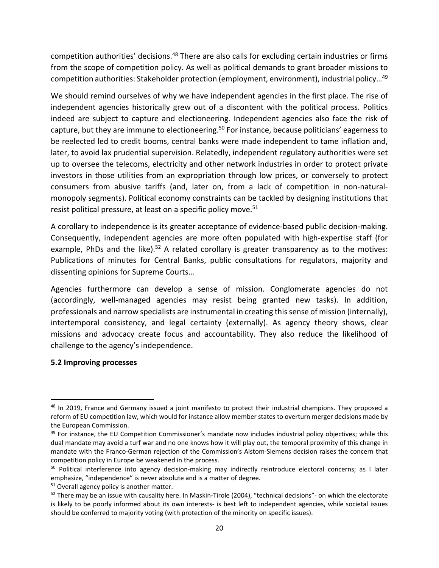competition authorities' decisions.<sup>48</sup> There are also calls for excluding certain industries or firms from the scope of competition policy. As well as political demands to grant broader missions to competition authorities: Stakeholder protection (employment, environment), industrial policy…49

We should remind ourselves of why we have independent agencies in the first place. The rise of independent agencies historically grew out of a discontent with the political process. Politics indeed are subject to capture and electioneering. Independent agencies also face the risk of capture, but they are immune to electioneering.<sup>50</sup> For instance, because politicians' eagerness to be reelected led to credit booms, central banks were made independent to tame inflation and, later, to avoid lax prudential supervision. Relatedly, independent regulatory authorities were set up to oversee the telecoms, electricity and other network industries in order to protect private investors in those utilities from an expropriation through low prices, or conversely to protect consumers from abusive tariffs (and, later on, from a lack of competition in non‐natural‐ monopoly segments). Political economy constraints can be tackled by designing institutions that resist political pressure, at least on a specific policy move.<sup>51</sup>

A corollary to independence is its greater acceptance of evidence‐based public decision‐making. Consequently, independent agencies are more often populated with high‐expertise staff (for example, PhDs and the like).<sup>52</sup> A related corollary is greater transparency as to the motives: Publications of minutes for Central Banks, public consultations for regulators, majority and dissenting opinions for Supreme Courts…

Agencies furthermore can develop a sense of mission. Conglomerate agencies do not (accordingly, well‐managed agencies may resist being granted new tasks). In addition, professionals and narrow specialists are instrumental in creating this sense of mission (internally), intertemporal consistency, and legal certainty (externally). As agency theory shows, clear missions and advocacy create focus and accountability. They also reduce the likelihood of challenge to the agency's independence.

#### **5.2 Improving processes**

<sup>&</sup>lt;sup>48</sup> In 2019, France and Germany issued a joint manifesto to protect their industrial champions. They proposed a reform of EU competition law, which would for instance allow member states to overturn merger decisions made by the European Commission.

 $49$  For instance, the EU Competition Commissioner's mandate now includes industrial policy objectives; while this dual mandate may avoid a turf war and no one knows how it will play out, the temporal proximity of this change in mandate with the Franco‐German rejection of the Commission's Alstom‐Siemens decision raises the concern that competition policy in Europe be weakened in the process.

<sup>&</sup>lt;sup>50</sup> Political interference into agency decision-making may indirectly reintroduce electoral concerns; as I later emphasize, "independence" is never absolute and is a matter of degree.

<sup>&</sup>lt;sup>51</sup> Overall agency policy is another matter.

 $52$  There may be an issue with causality here. In Maskin-Tirole (2004), "technical decisions"- on which the electorate is likely to be poorly informed about its own interests- is best left to independent agencies, while societal issues should be conferred to majority voting (with protection of the minority on specific issues).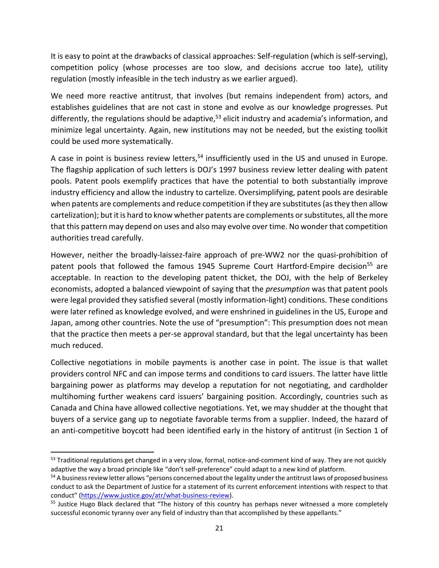It is easy to point at the drawbacks of classical approaches: Self‐regulation (which is self‐serving), competition policy (whose processes are too slow, and decisions accrue too late), utility regulation (mostly infeasible in the tech industry as we earlier argued).

We need more reactive antitrust, that involves (but remains independent from) actors, and establishes guidelines that are not cast in stone and evolve as our knowledge progresses. Put differently, the regulations should be adaptive,<sup>53</sup> elicit industry and academia's information, and minimize legal uncertainty. Again, new institutions may not be needed, but the existing toolkit could be used more systematically.

A case in point is business review letters,<sup>54</sup> insufficiently used in the US and unused in Europe. The flagship application of such letters is DOJ's 1997 business review letter dealing with patent pools. Patent pools exemplify practices that have the potential to both substantially improve industry efficiency and allow the industry to cartelize. Oversimplifying, patent pools are desirable when patents are complements and reduce competition if they are substitutes (as they then allow cartelization); but it is hard to know whether patents are complements or substitutes, all the more that this pattern may depend on uses and also may evolve over time. No wonder that competition authorities tread carefully.

However, neither the broadly-laissez-faire approach of pre-WW2 nor the quasi-prohibition of patent pools that followed the famous 1945 Supreme Court Hartford-Empire decision<sup>55</sup> are acceptable. In reaction to the developing patent thicket, the DOJ, with the help of Berkeley economists, adopted a balanced viewpoint of saying that the *presumption* was that patent pools were legal provided they satisfied several (mostly information‐light) conditions. These conditions were later refined as knowledge evolved, and were enshrined in guidelines in the US, Europe and Japan, among other countries. Note the use of "presumption": This presumption does not mean that the practice then meets a per‐se approval standard, but that the legal uncertainty has been much reduced.

Collective negotiations in mobile payments is another case in point. The issue is that wallet providers control NFC and can impose terms and conditions to card issuers. The latter have little bargaining power as platforms may develop a reputation for not negotiating, and cardholder multihoming further weakens card issuers' bargaining position. Accordingly, countries such as Canada and China have allowed collective negotiations. Yet, we may shudder at the thought that buyers of a service gang up to negotiate favorable terms from a supplier. Indeed, the hazard of an anti-competitive boycott had been identified early in the history of antitrust (in Section 1 of

<sup>53</sup> Traditional regulations get changed in a very slow, formal, notice-and-comment kind of way. They are not quickly adaptive the way a broad principle like "don't self‐preference" could adapt to a new kind of platform.

<sup>&</sup>lt;sup>54</sup> A business review letter allows "persons concerned about the legality under the antitrust laws of proposed business conduct to ask the Department of Justice for a statement of its current enforcement intentions with respect to that conduct" (https://www.justice.gov/atr/what-business-review).

<sup>&</sup>lt;sup>55</sup> Justice Hugo Black declared that "The history of this country has perhaps never witnessed a more completely successful economic tyranny over any field of industry than that accomplished by these appellants."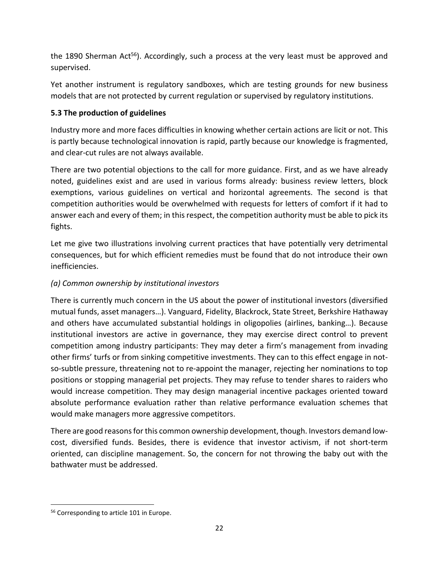the 1890 Sherman Act<sup>56</sup>). Accordingly, such a process at the very least must be approved and supervised.

Yet another instrument is regulatory sandboxes, which are testing grounds for new business models that are not protected by current regulation or supervised by regulatory institutions.

# **5.3 The production of guidelines**

Industry more and more faces difficulties in knowing whether certain actions are licit or not. This is partly because technological innovation is rapid, partly because our knowledge is fragmented, and clear‐cut rules are not always available.

There are two potential objections to the call for more guidance. First, and as we have already noted, guidelines exist and are used in various forms already: business review letters, block exemptions, various guidelines on vertical and horizontal agreements. The second is that competition authorities would be overwhelmed with requests for letters of comfort if it had to answer each and every of them; in this respect, the competition authority must be able to pick its fights.

Let me give two illustrations involving current practices that have potentially very detrimental consequences, but for which efficient remedies must be found that do not introduce their own inefficiencies.

## *(a) Common ownership by institutional investors*

There is currently much concern in the US about the power of institutional investors (diversified mutual funds, asset managers…). Vanguard, Fidelity, Blackrock, State Street, Berkshire Hathaway and others have accumulated substantial holdings in oligopolies (airlines, banking…). Because institutional investors are active in governance, they may exercise direct control to prevent competition among industry participants: They may deter a firm's management from invading other firms' turfs or from sinking competitive investments. They can to this effect engage in not‐ so-subtle pressure, threatening not to re-appoint the manager, rejecting her nominations to top positions or stopping managerial pet projects. They may refuse to tender shares to raiders who would increase competition. They may design managerial incentive packages oriented toward absolute performance evaluation rather than relative performance evaluation schemes that would make managers more aggressive competitors.

There are good reasons for this common ownership development, though. Investors demand low‐ cost, diversified funds. Besides, there is evidence that investor activism, if not short-term oriented, can discipline management. So, the concern for not throwing the baby out with the bathwater must be addressed.

<sup>56</sup> Corresponding to article 101 in Europe.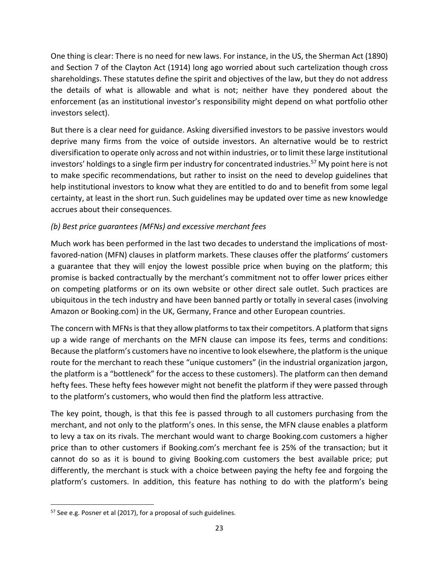One thing is clear: There is no need for new laws. For instance, in the US, the Sherman Act (1890) and Section 7 of the Clayton Act (1914) long ago worried about such cartelization though cross shareholdings. These statutes define the spirit and objectives of the law, but they do not address the details of what is allowable and what is not; neither have they pondered about the enforcement (as an institutional investor's responsibility might depend on what portfolio other investors select).

But there is a clear need for guidance. Asking diversified investors to be passive investors would deprive many firms from the voice of outside investors. An alternative would be to restrict diversification to operate only across and not within industries, or to limit these large institutional investors' holdings to a single firm per industry for concentrated industries.<sup>57</sup> My point here is not to make specific recommendations, but rather to insist on the need to develop guidelines that help institutional investors to know what they are entitled to do and to benefit from some legal certainty, at least in the short run. Such guidelines may be updated over time as new knowledge accrues about their consequences.

## *(b) Best price guarantees (MFNs) and excessive merchant fees*

Much work has been performed in the last two decades to understand the implications of most‐ favored-nation (MFN) clauses in platform markets. These clauses offer the platforms' customers a guarantee that they will enjoy the lowest possible price when buying on the platform; this promise is backed contractually by the merchant's commitment not to offer lower prices either on competing platforms or on its own website or other direct sale outlet. Such practices are ubiquitous in the tech industry and have been banned partly or totally in several cases (involving Amazon or Booking.com) in the UK, Germany, France and other European countries.

The concern with MFNs is that they allow platforms to tax their competitors. A platform that signs up a wide range of merchants on the MFN clause can impose its fees, terms and conditions: Because the platform's customers have no incentive to look elsewhere, the platform is the unique route for the merchant to reach these "unique customers" (in the industrial organization jargon, the platform is a "bottleneck" for the access to these customers). The platform can then demand hefty fees. These hefty fees however might not benefit the platform if they were passed through to the platform's customers, who would then find the platform less attractive.

The key point, though, is that this fee is passed through to all customers purchasing from the merchant, and not only to the platform's ones. In this sense, the MFN clause enables a platform to levy a tax on its rivals. The merchant would want to charge Booking.com customers a higher price than to other customers if Booking.com's merchant fee is 25% of the transaction; but it cannot do so as it is bound to giving Booking.com customers the best available price; put differently, the merchant is stuck with a choice between paying the hefty fee and forgoing the platform's customers. In addition, this feature has nothing to do with the platform's being

<sup>&</sup>lt;sup>57</sup> See e.g. Posner et al (2017), for a proposal of such guidelines.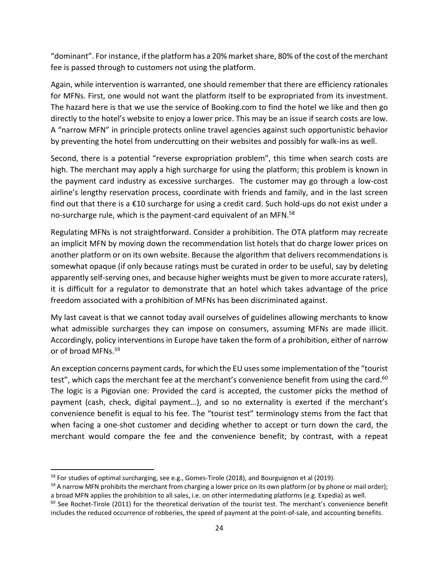"dominant". For instance, if the platform has a 20% market share, 80% of the cost of the merchant fee is passed through to customers not using the platform.

Again, while intervention is warranted, one should remember that there are efficiency rationales for MFNs. First, one would not want the platform itself to be expropriated from its investment. The hazard here is that we use the service of Booking.com to find the hotel we like and then go directly to the hotel's website to enjoy a lower price. This may be an issue if search costs are low. A "narrow MFN" in principle protects online travel agencies against such opportunistic behavior by preventing the hotel from undercutting on their websites and possibly for walk-ins as well.

Second, there is a potential "reverse expropriation problem", this time when search costs are high. The merchant may apply a high surcharge for using the platform; this problem is known in the payment card industry as excessive surcharges. The customer may go through a low‐cost airline's lengthy reservation process, coordinate with friends and family, and in the last screen find out that there is a €10 surcharge for using a credit card. Such hold‐ups do not exist under a no-surcharge rule, which is the payment-card equivalent of an MFN.<sup>58</sup>

Regulating MFNs is not straightforward. Consider a prohibition. The OTA platform may recreate an implicit MFN by moving down the recommendation list hotels that do charge lower prices on another platform or on its own website. Because the algorithm that delivers recommendations is somewhat opaque (if only because ratings must be curated in order to be useful, say by deleting apparently self-serving ones, and because higher weights must be given to more accurate raters), it is difficult for a regulator to demonstrate that an hotel which takes advantage of the price freedom associated with a prohibition of MFNs has been discriminated against.

My last caveat is that we cannot today avail ourselves of guidelines allowing merchants to know what admissible surcharges they can impose on consumers, assuming MFNs are made illicit. Accordingly, policy interventions in Europe have taken the form of a prohibition, either of narrow or of broad MFNs.59

An exception concerns payment cards, for which the EU uses some implementation of the "tourist test", which caps the merchant fee at the merchant's convenience benefit from using the card.<sup>60</sup> The logic is a Pigovian one: Provided the card is accepted, the customer picks the method of payment (cash, check, digital payment…), and so no externality is exerted if the merchant's convenience benefit is equal to his fee. The "tourist test" terminology stems from the fact that when facing a one-shot customer and deciding whether to accept or turn down the card, the merchant would compare the fee and the convenience benefit; by contrast, with a repeat

 $58$  For studies of optimal surcharging, see e.g., Gomes-Tirole (2018), and Bourguignon et al (2019).

 $59$  A narrow MFN prohibits the merchant from charging a lower price on its own platform (or by phone or mail order); a broad MFN applies the prohibition to all sales, i.e. on other intermediating platforms (e.g. Expedia) as well.

<sup>60</sup> See Rochet-Tirole (2011) for the theoretical derivation of the tourist test. The merchant's convenience benefit includes the reduced occurrence of robberies, the speed of payment at the point‐of‐sale, and accounting benefits.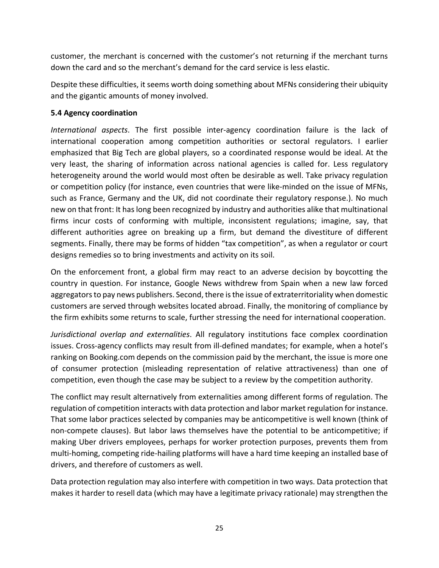customer, the merchant is concerned with the customer's not returning if the merchant turns down the card and so the merchant's demand for the card service is less elastic.

Despite these difficulties, it seems worth doing something about MFNs considering their ubiquity and the gigantic amounts of money involved.

#### **5.4 Agency coordination**

*International aspects*. The first possible inter‐agency coordination failure is the lack of international cooperation among competition authorities or sectoral regulators. I earlier emphasized that Big Tech are global players, so a coordinated response would be ideal. At the very least, the sharing of information across national agencies is called for. Less regulatory heterogeneity around the world would most often be desirable as well. Take privacy regulation or competition policy (for instance, even countries that were like-minded on the issue of MFNs, such as France, Germany and the UK, did not coordinate their regulatory response.). No much new on that front: It has long been recognized by industry and authorities alike that multinational firms incur costs of conforming with multiple, inconsistent regulations; imagine, say, that different authorities agree on breaking up a firm, but demand the divestiture of different segments. Finally, there may be forms of hidden "tax competition", as when a regulator or court designs remedies so to bring investments and activity on its soil.

On the enforcement front, a global firm may react to an adverse decision by boycotting the country in question. For instance, Google News withdrew from Spain when a new law forced aggregators to pay news publishers. Second, there is the issue of extraterritoriality when domestic customers are served through websites located abroad. Finally, the monitoring of compliance by the firm exhibits some returns to scale, further stressing the need for international cooperation.

*Jurisdictional overlap and externalities*. All regulatory institutions face complex coordination issues. Cross-agency conflicts may result from ill-defined mandates; for example, when a hotel's ranking on Booking.com depends on the commission paid by the merchant, the issue is more one of consumer protection (misleading representation of relative attractiveness) than one of competition, even though the case may be subject to a review by the competition authority.

The conflict may result alternatively from externalities among different forms of regulation. The regulation of competition interacts with data protection and labor market regulation for instance. That some labor practices selected by companies may be anticompetitive is well known (think of non-compete clauses). But labor laws themselves have the potential to be anticompetitive; if making Uber drivers employees, perhaps for worker protection purposes, prevents them from multi-homing, competing ride-hailing platforms will have a hard time keeping an installed base of drivers, and therefore of customers as well.

Data protection regulation may also interfere with competition in two ways. Data protection that makes it harder to resell data (which may have a legitimate privacy rationale) may strengthen the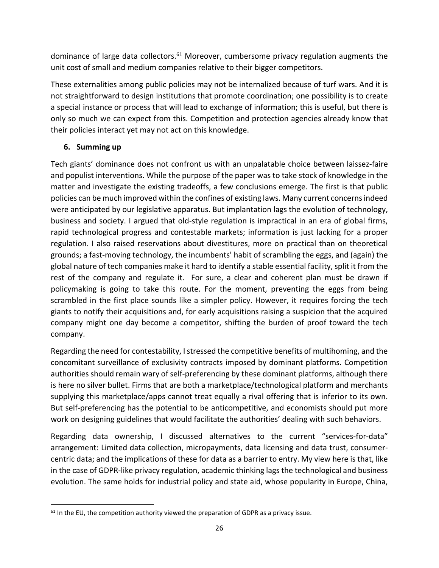dominance of large data collectors. $61$  Moreover, cumbersome privacy regulation augments the unit cost of small and medium companies relative to their bigger competitors.

These externalities among public policies may not be internalized because of turf wars. And it is not straightforward to design institutions that promote coordination; one possibility is to create a special instance or process that will lead to exchange of information; this is useful, but there is only so much we can expect from this. Competition and protection agencies already know that their policies interact yet may not act on this knowledge.

# **6. Summing up**

Tech giants' dominance does not confront us with an unpalatable choice between laissez-faire and populist interventions. While the purpose of the paper was to take stock of knowledge in the matter and investigate the existing tradeoffs, a few conclusions emerge. The first is that public policies can be much improved within the confines of existing laws. Many current concerns indeed were anticipated by our legislative apparatus. But implantation lags the evolution of technology, business and society. I argued that old‐style regulation is impractical in an era of global firms, rapid technological progress and contestable markets; information is just lacking for a proper regulation. I also raised reservations about divestitures, more on practical than on theoretical grounds; a fast-moving technology, the incumbents' habit of scrambling the eggs, and (again) the global nature of tech companies make it hard to identify a stable essential facility, split it from the rest of the company and regulate it. For sure, a clear and coherent plan must be drawn if policymaking is going to take this route. For the moment, preventing the eggs from being scrambled in the first place sounds like a simpler policy. However, it requires forcing the tech giants to notify their acquisitions and, for early acquisitions raising a suspicion that the acquired company might one day become a competitor, shifting the burden of proof toward the tech company.

Regarding the need for contestability, I stressed the competitive benefits of multihoming, and the concomitant surveillance of exclusivity contracts imposed by dominant platforms. Competition authorities should remain wary of self-preferencing by these dominant platforms, although there is here no silver bullet. Firms that are both a marketplace/technological platform and merchants supplying this marketplace/apps cannot treat equally a rival offering that is inferior to its own. But self-preferencing has the potential to be anticompetitive, and economists should put more work on designing guidelines that would facilitate the authorities' dealing with such behaviors.

Regarding data ownership, I discussed alternatives to the current "services-for-data" arrangement: Limited data collection, micropayments, data licensing and data trust, consumer‐ centric data; and the implications of these for data as a barrier to entry. My view here is that, like in the case of GDPR‐like privacy regulation, academic thinking lags the technological and business evolution. The same holds for industrial policy and state aid, whose popularity in Europe, China,

 $61$  In the EU, the competition authority viewed the preparation of GDPR as a privacy issue.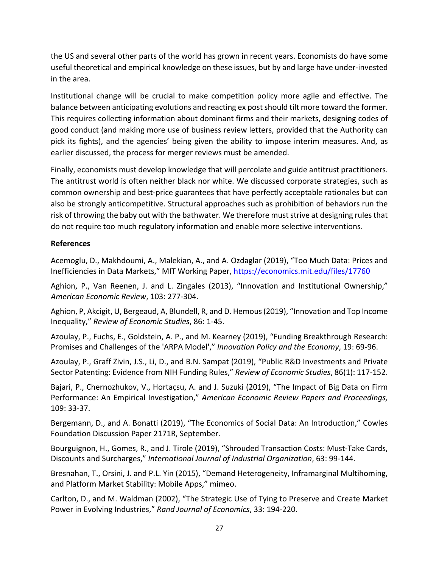the US and several other parts of the world has grown in recent years. Economists do have some useful theoretical and empirical knowledge on these issues, but by and large have under‐invested in the area.

Institutional change will be crucial to make competition policy more agile and effective. The balance between anticipating evolutions and reacting ex post should tilt more toward the former. This requires collecting information about dominant firms and their markets, designing codes of good conduct (and making more use of business review letters, provided that the Authority can pick its fights), and the agencies' being given the ability to impose interim measures. And, as earlier discussed, the process for merger reviews must be amended.

Finally, economists must develop knowledge that will percolate and guide antitrust practitioners. The antitrust world is often neither black nor white. We discussed corporate strategies, such as common ownership and best-price guarantees that have perfectly acceptable rationales but can also be strongly anticompetitive. Structural approaches such as prohibition of behaviors run the risk of throwing the baby out with the bathwater. We therefore must strive at designing rules that do not require too much regulatory information and enable more selective interventions.

#### **References**

Acemoglu, D., Makhdoumi, A., Malekian, A., and A. Ozdaglar (2019), "Too Much Data: Prices and Inefficiencies in Data Markets," MIT Working Paper, https://economics.mit.edu/files/17760

Aghion, P., Van Reenen, J. and L. Zingales (2013), "Innovation and Institutional Ownership," *American Economic Review*, 103: 277‐304.

Aghion, P, Akcigit, U, Bergeaud, A, Blundell, R, and D. Hemous (2019), "Innovation and Top Income Inequality," *Review of Economic Studies*, 86: 1‐45.

Azoulay, P., Fuchs, E., Goldstein, A. P., and M. Kearney (2019), "Funding Breakthrough Research: Promises and Challenges of the 'ARPA Model'," *Innovation Policy and the Economy*, 19: 69‐96.

Azoulay, P., Graff Zivin, J.S., Li, D., and B.N. Sampat (2019), "Public R&D Investments and Private Sector Patenting: Evidence from NIH Funding Rules," *Review of Economic Studies*, 86(1): 117‐152.

Bajari, P., Chernozhukov, V., Hortaçsu, A. and J. Suzuki (2019), "The Impact of Big Data on Firm Performance: An Empirical Investigation," *American Economic Review Papers and Proceedings,* 109: 33‐37.

Bergemann, D., and A. Bonatti (2019), "The Economics of Social Data: An Introduction," Cowles Foundation Discussion Paper 2171R, September.

Bourguignon, H., Gomes, R., and J. Tirole (2019), "Shrouded Transaction Costs: Must‐Take Cards, Discounts and Surcharges," *International Journal of Industrial Organization*, 63: 99‐144.

Bresnahan, T., Orsini, J. and P.L. Yin (2015), "Demand Heterogeneity, Inframarginal Multihoming, and Platform Market Stability: Mobile Apps," mimeo.

Carlton, D., and M. Waldman (2002), "The Strategic Use of Tying to Preserve and Create Market Power in Evolving Industries," *Rand Journal of Economics*, 33: 194‐220.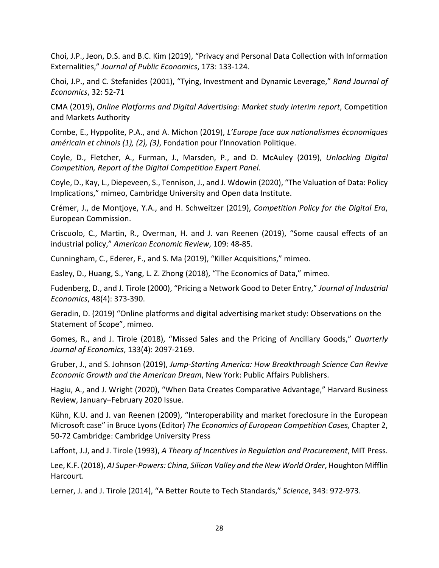Choi, J.P., Jeon, D.S. and B.C. Kim (2019), "Privacy and Personal Data Collection with Information Externalities," *Journal of Public Economics*, 173: 133‐124.

Choi, J.P., and C. Stefanides (2001), "Tying, Investment and Dynamic Leverage," *Rand Journal of Economics*, 32: 52‐71

CMA (2019), *Online Platforms and Digital Advertising: Market study interim report*, Competition and Markets Authority

Combe, E., Hyppolite, P.A., and A. Michon (2019), *L'Europe face aux nationalismes économiques américain et chinois (1), (2), (3)*, Fondation pour l'Innovation Politique.

Coyle, D., Fletcher, A., Furman, J., Marsden, P., and D. McAuley (2019), *Unlocking Digital Competition, Report of the Digital Competition Expert Panel.*

Coyle, D., Kay, L., Diepeveen, S., Tennison, J., and J. Wdowin (2020), "The Valuation of Data: Policy Implications," mimeo, Cambridge University and Open data Institute.

Crémer, J., de Montjoye, Y.A., and H. Schweitzer (2019), *Competition Policy for the Digital Era*, European Commission.

Criscuolo, C., Martin, R., Overman, H. and J. van Reenen (2019), "Some causal effects of an industrial policy," *American Economic Review*, 109: 48‐85.

Cunningham, C., Ederer, F., and S. Ma (2019), "Killer Acquisitions," mimeo.

Easley, D., Huang, S., Yang, L. Z. Zhong (2018), "The Economics of Data," mimeo.

Fudenberg, D., and J. Tirole (2000), "Pricing a Network Good to Deter Entry," *Journal of Industrial Economics*, 48(4): 373‐390.

Geradin, D. (2019) "Online platforms and digital advertising market study: Observations on the Statement of Scope", mimeo.

Gomes, R., and J. Tirole (2018), "Missed Sales and the Pricing of Ancillary Goods," *Quarterly Journal of Economics*, 133(4): 2097‐2169.

Gruber, J., and S. Johnson (2019), *Jump‐Starting America: How Breakthrough Science Can Revive Economic Growth and the American Dream*, New York: Public Affairs Publishers.

Hagiu, A., and J. Wright (2020), "When Data Creates Comparative Advantage," Harvard Business Review, January–February 2020 Issue.

Kühn, K.U. and J. van Reenen (2009), "Interoperability and market foreclosure in the European Microsoft case" in Bruce Lyons (Editor) *The Economics of European Competition Cases,* Chapter 2, 50‐72 Cambridge: Cambridge University Press

Laffont, J.J, and J. Tirole (1993), *A Theory of Incentives in Regulation and Procurement*, MIT Press.

Lee, K.F. (2018), *AI Super‐Powers: China, Silicon Valley and the New World Order*, Houghton Mifflin Harcourt.

Lerner, J. and J. Tirole (2014), "A Better Route to Tech Standards," *Science*, 343: 972‐973.